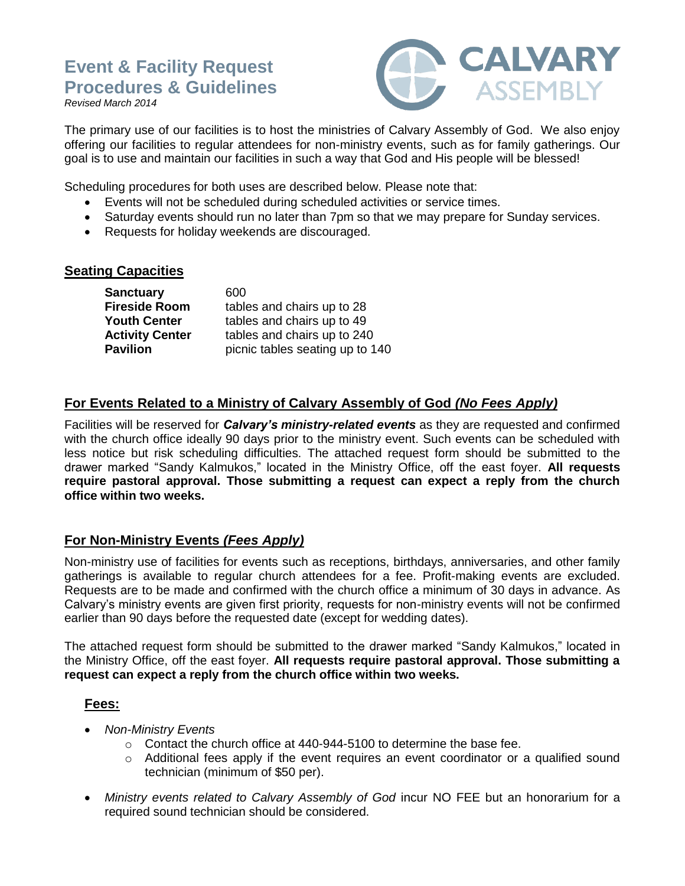# **Event & Facility Request Procedures & Guidelines**

*Revised March 2014*



The primary use of our facilities is to host the ministries of Calvary Assembly of God. We also enjoy offering our facilities to regular attendees for non-ministry events, such as for family gatherings. Our goal is to use and maintain our facilities in such a way that God and His people will be blessed!

Scheduling procedures for both uses are described below. Please note that:

- Events will not be scheduled during scheduled activities or service times.
- Saturday events should run no later than 7pm so that we may prepare for Sunday services.
- Requests for holiday weekends are discouraged.

#### **Seating Capacities**

| <b>Sanctuary</b>       | 600                             |
|------------------------|---------------------------------|
| <b>Fireside Room</b>   | tables and chairs up to 28      |
| <b>Youth Center</b>    | tables and chairs up to 49      |
| <b>Activity Center</b> | tables and chairs up to 240     |
| <b>Pavilion</b>        | picnic tables seating up to 140 |

### **For Events Related to a Ministry of Calvary Assembly of God** *(No Fees Apply)*

Facilities will be reserved for *Calvary's ministry-related events* as they are requested and confirmed with the church office ideally 90 days prior to the ministry event. Such events can be scheduled with less notice but risk scheduling difficulties. The attached request form should be submitted to the drawer marked "Sandy Kalmukos," located in the Ministry Office, off the east foyer. **All requests require pastoral approval. Those submitting a request can expect a reply from the church office within two weeks.**

### **For Non-Ministry Events** *(Fees Apply)*

Non-ministry use of facilities for events such as receptions, birthdays, anniversaries, and other family gatherings is available to regular church attendees for a fee. Profit-making events are excluded. Requests are to be made and confirmed with the church office a minimum of 30 days in advance. As Calvary's ministry events are given first priority, requests for non-ministry events will not be confirmed earlier than 90 days before the requested date (except for wedding dates).

The attached request form should be submitted to the drawer marked "Sandy Kalmukos," located in the Ministry Office, off the east foyer. **All requests require pastoral approval. Those submitting a request can expect a reply from the church office within two weeks.**

### **Fees:**

- *Non-Ministry Events*
	- o Contact the church office at 440-944-5100 to determine the base fee.
	- $\circ$  Additional fees apply if the event requires an event coordinator or a qualified sound technician (minimum of \$50 per).
- *Ministry events related to Calvary Assembly of God* incur NO FEE but an honorarium for a required sound technician should be considered.